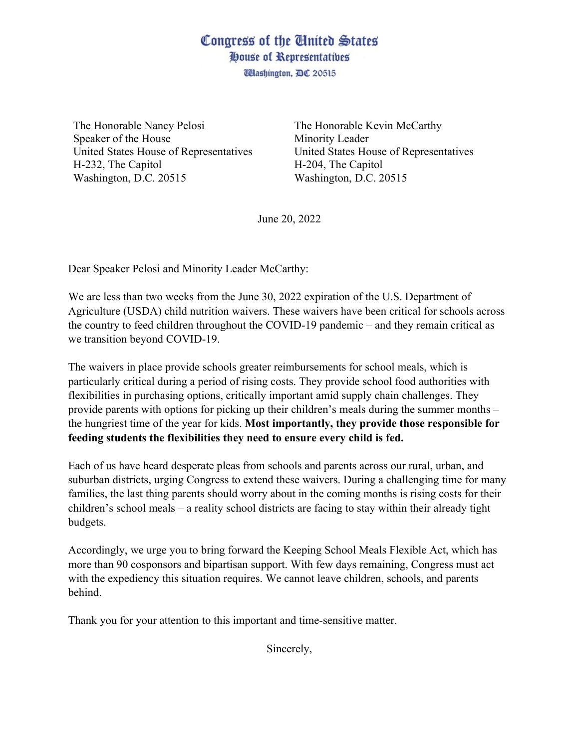## Congress of the United States House of Representatives

*Udashington, DC 20515* 

The Honorable Nancy Pelosi Speaker of the House United States House of Representatives H-232, The Capitol Washington, D.C. 20515

The Honorable Kevin McCarthy Minority Leader United States House of Representatives H-204, The Capitol Washington, D.C. 20515

June 20, 2022

Dear Speaker Pelosi and Minority Leader McCarthy:

We are less than two weeks from the June 30, 2022 expiration of the U.S. Department of Agriculture (USDA) child nutrition waivers. These waivers have been critical for schools across the country to feed children throughout the COVID-19 pandemic – and they remain critical as we transition beyond COVID-19.

The waivers in place provide schools greater reimbursements for school meals, which is particularly critical during a period of rising costs. They provide school food authorities with flexibilities in purchasing options, critically important amid supply chain challenges. They provide parents with options for picking up their children's meals during the summer months – the hungriest time of the year for kids. **Most importantly, they provide those responsible for feeding students the flexibilities they need to ensure every child is fed.** 

Each of us have heard desperate pleas from schools and parents across our rural, urban, and suburban districts, urging Congress to extend these waivers. During a challenging time for many families, the last thing parents should worry about in the coming months is rising costs for their children's school meals – a reality school districts are facing to stay within their already tight budgets.

Accordingly, we urge you to bring forward the Keeping School Meals Flexible Act, which has more than 90 cosponsors and bipartisan support. With few days remaining, Congress must act with the expediency this situation requires. We cannot leave children, schools, and parents behind.

Thank you for your attention to this important and time-sensitive matter.

Sincerely,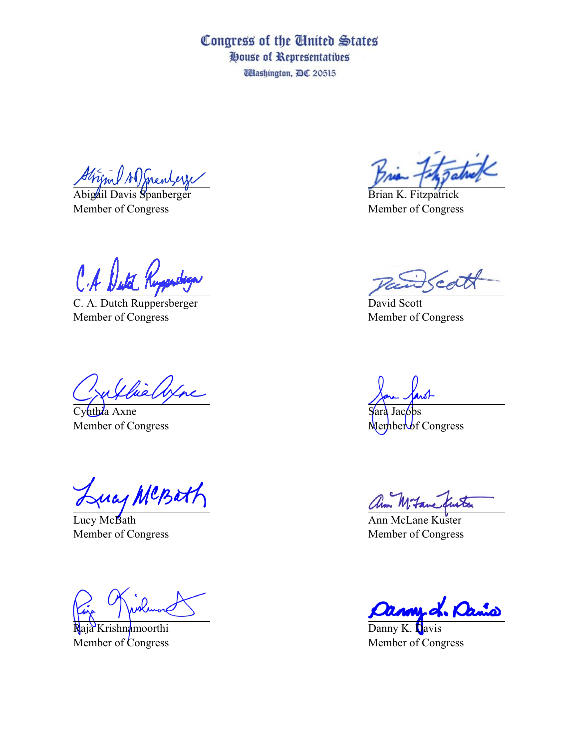Congress of the United States House of Representatives **Washington, DC 20515** 

Stripul AD mentere

Abigail Davis Spanberger Member of Congress

C. A. Dutch Ruppersberger Member of Congress

Chie Axne

Cynthia Axne Member of Congress

Lucy MCBatt

Lucy McBath Member of Congress

Raja Krishnamoorthi Member of Congress

Brian K. Fitzpatrick Member of Congress

cd

David Scott Member of Congress

ara Jacobs

 $M$ ember of Congress

Ann McLane Kuster Member of Congress

L. Dan

Danny K. Davis Member of Congress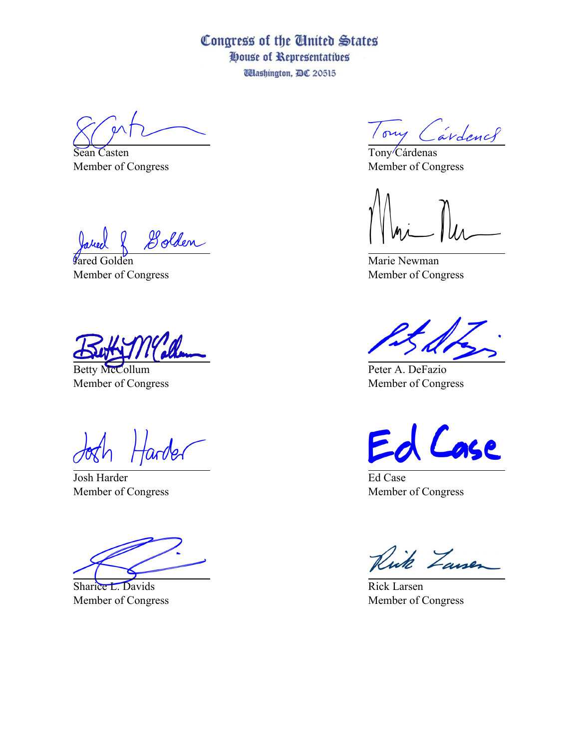## Congress of the United States House of Representatives **Washington, DC 20515**

Sean Casten Member of Congress

Golden

*Vared* Golden Member of Congress

Betty McCollum Member of Congress

larder

Josh Harder Member of Congress

Sharice L. Davids Member of Congress

Tony Cardence

Tony/Cárdenas Member of Congress

Marie Newman Member of Congress

Peter A. DeFazio Member of Congress

Case

Ed Case Member of Congress

Rick Zansen

Rick Larsen Member of Congress